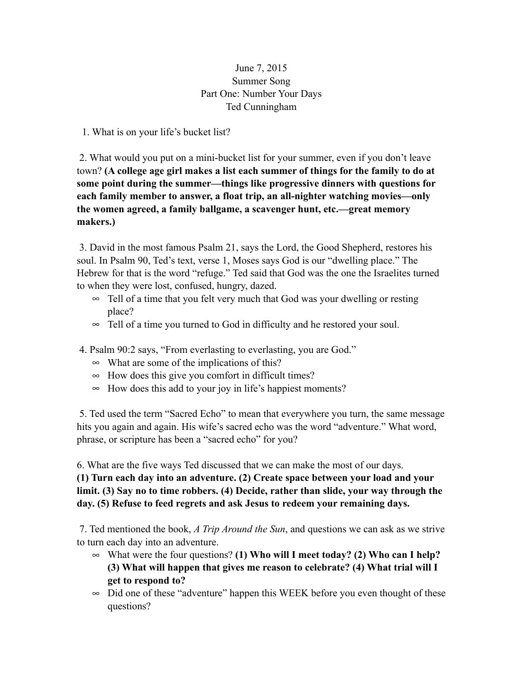## June 7, 2015 Summer Song Part One: Number Your Days Ted Cunningham

1. What is on your life's bucket list?

 2. What would you put on a mini-bucket list for your summer, even if you don't leave town? **(A college age girl makes a list each summer of things for the family to do at some point during the summer—things like progressive dinners with questions for each family member to answer, a float trip, an all-nighter watching movies—only the women agreed, a family ballgame, a scavenger hunt, etc.—great memory makers.)** 

 3. David in the most famous Psalm 21, says the Lord, the Good Shepherd, restores his soul. In Psalm 90, Ted's text, verse 1, Moses says God is our "dwelling place." The Hebrew for that is the word "refuge." Ted said that God was the one the Israelites turned to when they were lost, confused, hungry, dazed.

- ∞ Tell of a time that you felt very much that God was your dwelling or resting place?
- ∞ Tell of a time you turned to God in difficulty and he restored your soul.
- 4. Psalm 90:2 says, "From everlasting to everlasting, you are God."
	- ∞ What are some of the implications of this?
	- ∞ How does this give you comfort in difficult times?
	- ∞ How does this add to your joy in life's happiest moments?

 5. Ted used the term "Sacred Echo" to mean that everywhere you turn, the same message hits you again and again. His wife's sacred echo was the word "adventure." What word, phrase, or scripture has been a "sacred echo" for you?

6. What are the five ways Ted discussed that we can make the most of our days.

**(1) Turn each day into an adventure. (2) Create space between your load and your limit. (3) Say no to time robbers. (4) Decide, rather than slide, your way through the day. (5) Refuse to feed regrets and ask Jesus to redeem your remaining days.** 

7. Ted mentioned the book, *A Trip Around the Sun*, and questions we can ask as we strive to turn each day into an adventure.

- ∞ What were the four questions? **(1) Who will I meet today? (2) Who can I help? (3) What will happen that gives me reason to celebrate? (4) What trial will I get to respond to?**
- $\infty$  Did one of these "adventure" happen this WEEK before you even thought of these questions?